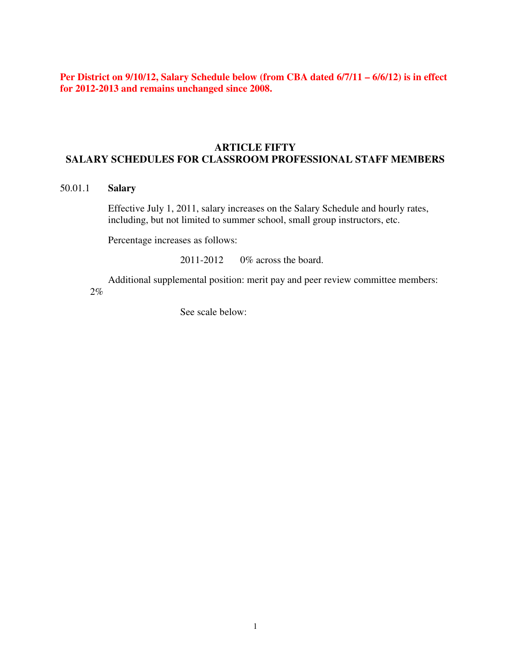**Per District on 9/10/12, Salary Schedule below (from CBA dated 6/7/11 – 6/6/12) is in effect for 2012-2013 and remains unchanged since 2008.** 

## **ARTICLE FIFTY SALARY SCHEDULES FOR CLASSROOM PROFESSIONAL STAFF MEMBERS**

## 50.01.1 **Salary**

 Effective July 1, 2011, salary increases on the Salary Schedule and hourly rates, including, but not limited to summer school, small group instructors, etc.

Percentage increases as follows:

2011-2012 0% across the board.

 Additional supplemental position: merit pay and peer review committee members: 2%

See scale below: